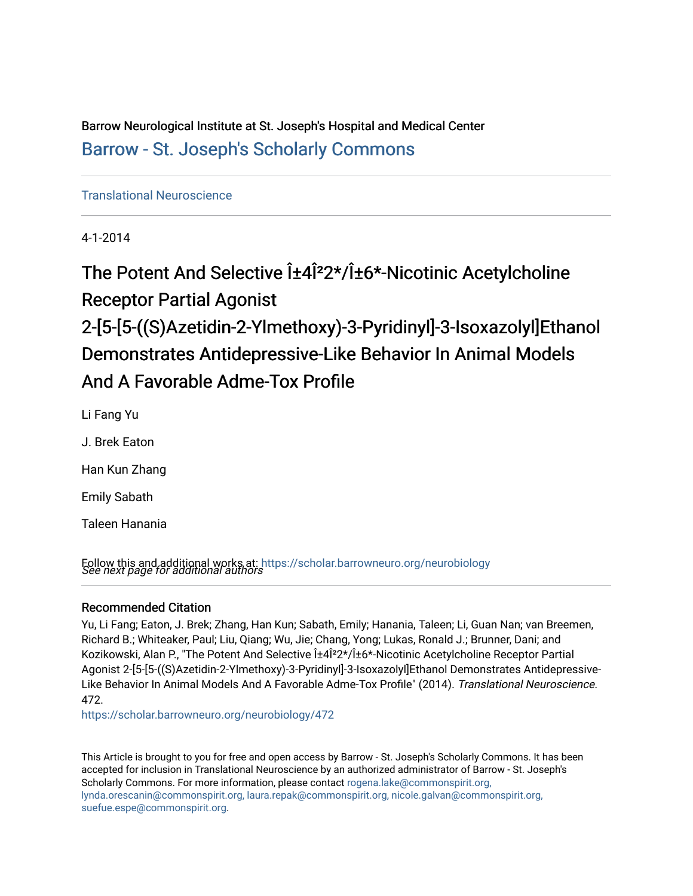Barrow Neurological Institute at St. Joseph's Hospital and Medical Center [Barrow - St. Joseph's Scholarly Commons](https://scholar.barrowneuro.org/) 

# [Translational Neuroscience](https://scholar.barrowneuro.org/neurobiology)

4-1-2014

The Potent And Selective  $1\pm 4\hat{I}^2 2 \star / \hat{I} \pm 6 \star$ -Nicotinic Acetylcholine Receptor Partial Agonist 2-[5-[5-((S)Azetidin-2-Ylmethoxy)-3-Pyridinyl]-3-Isoxazolyl]Ethanol Demonstrates Antidepressive-Like Behavior In Animal Models And A Favorable Adme-Tox Profile

Li Fang Yu

J. Brek Eaton

Han Kun Zhang

Emily Sabath

Taleen Hanania

Follow this and additional works at: [https://scholar.barrowneuro.org/neurobiology](https://scholar.barrowneuro.org/neurobiology?utm_source=scholar.barrowneuro.org%2Fneurobiology%2F472&utm_medium=PDF&utm_campaign=PDFCoverPages)<br>*See next page for additional authors* 

# Recommended Citation

Yu, Li Fang; Eaton, J. Brek; Zhang, Han Kun; Sabath, Emily; Hanania, Taleen; Li, Guan Nan; van Breemen, Richard B.; Whiteaker, Paul; Liu, Qiang; Wu, Jie; Chang, Yong; Lukas, Ronald J.; Brunner, Dani; and Kozikowski, Alan P., "The Potent And Selective  $i\pm 4i^2 2^x/i\pm 6^x$ -Nicotinic Acetylcholine Receptor Partial Agonist 2-[5-[5-((S)Azetidin-2-Ylmethoxy)-3-Pyridinyl]-3-Isoxazolyl]Ethanol Demonstrates Antidepressive-Like Behavior In Animal Models And A Favorable Adme-Tox Profile" (2014). Translational Neuroscience. 472.

[https://scholar.barrowneuro.org/neurobiology/472](https://scholar.barrowneuro.org/neurobiology/472?utm_source=scholar.barrowneuro.org%2Fneurobiology%2F472&utm_medium=PDF&utm_campaign=PDFCoverPages)

This Article is brought to you for free and open access by Barrow - St. Joseph's Scholarly Commons. It has been accepted for inclusion in Translational Neuroscience by an authorized administrator of Barrow - St. Joseph's Scholarly Commons. For more information, please contact [rogena.lake@commonspirit.org,](mailto:rogena.lake@commonspirit.org,%20lynda.orescanin@commonspirit.org,%20laura.repak@commonspirit.org,%20nicole.galvan@commonspirit.org,%20suefue.espe@commonspirit.org) [lynda.orescanin@commonspirit.org, laura.repak@commonspirit.org, nicole.galvan@commonspirit.org,](mailto:rogena.lake@commonspirit.org,%20lynda.orescanin@commonspirit.org,%20laura.repak@commonspirit.org,%20nicole.galvan@commonspirit.org,%20suefue.espe@commonspirit.org)  [suefue.espe@commonspirit.org](mailto:rogena.lake@commonspirit.org,%20lynda.orescanin@commonspirit.org,%20laura.repak@commonspirit.org,%20nicole.galvan@commonspirit.org,%20suefue.espe@commonspirit.org).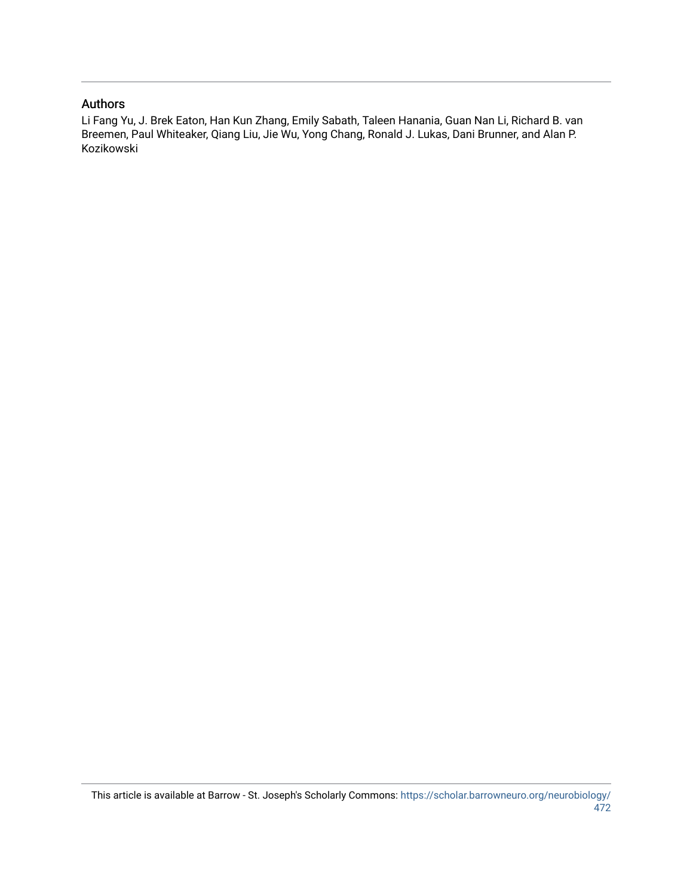# Authors

Li Fang Yu, J. Brek Eaton, Han Kun Zhang, Emily Sabath, Taleen Hanania, Guan Nan Li, Richard B. van Breemen, Paul Whiteaker, Qiang Liu, Jie Wu, Yong Chang, Ronald J. Lukas, Dani Brunner, and Alan P. Kozikowski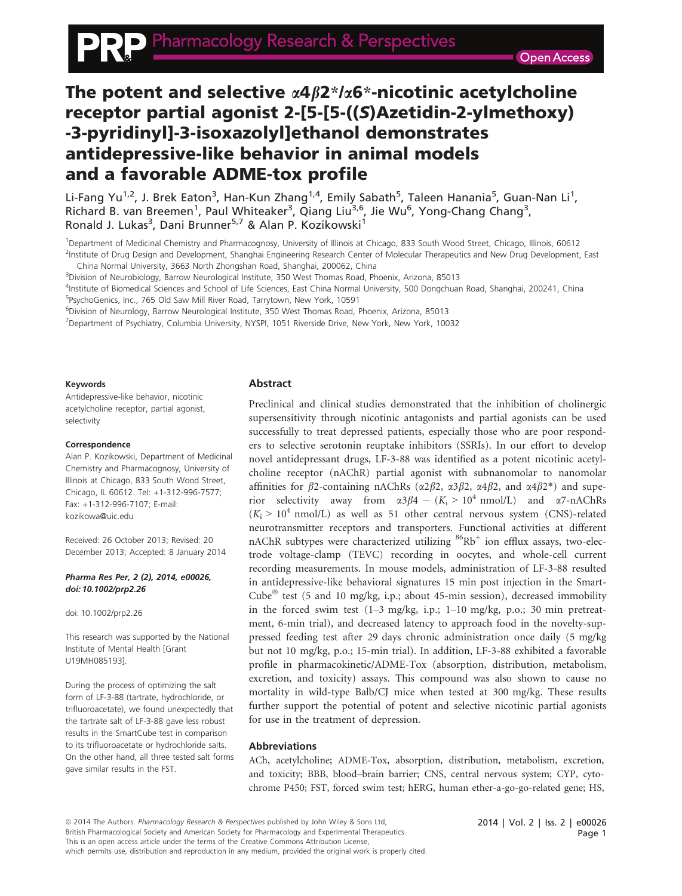# The potent and selective  $\alpha$ 4 $\beta$ 2\*/ $\alpha$ 6\*-nicotinic acetylcholine receptor partial agonist 2-[5-[5-((S)Azetidin-2-ylmethoxy) -3-pyridinyl]-3-isoxazolyl]ethanol demonstrates antidepressive-like behavior in animal models and a favorable ADME-tox profile

Li-Fang Yu<sup>1,2</sup>, J. Brek Eaton<sup>3</sup>, Han-Kun Zhang<sup>1,4</sup>, Emily Sabath<sup>5</sup>, Taleen Hanania<sup>5</sup>, Guan-Nan Li<sup>1</sup>, Richard B. van Breemen<sup>1</sup>, Paul Whiteaker<sup>3</sup>, Qiang Liu<sup>3,6</sup>, Jie Wu<sup>6</sup>, Yong-Chang Chang<sup>3</sup>, Ronald J. Lukas<sup>3</sup>, Dani Brunner<sup>5,7</sup> & Alan P. Kozikowski<sup>1</sup>

<sup>1</sup>Department of Medicinal Chemistry and Pharmacognosy, University of Illinois at Chicago, 833 South Wood Street, Chicago, Illinois, 60612 <sup>2</sup>Institute of Drug Design and Development, Shanghai Engineering Research Center of Molecular Therapeutics and New Drug Development, East

China Normal University, 3663 North Zhongshan Road, Shanghai, 200062, China

3 Division of Neurobiology, Barrow Neurological Institute, 350 West Thomas Road, Phoenix, Arizona, 85013

4 Institute of Biomedical Sciences and School of Life Sciences, East China Normal University, 500 Dongchuan Road, Shanghai, 200241, China

5 PsychoGenics, Inc., 765 Old Saw Mill River Road, Tarrytown, New York, 10591

6 Division of Neurology, Barrow Neurological Institute, 350 West Thomas Road, Phoenix, Arizona, 85013

7 Department of Psychiatry, Columbia University, NYSPI, 1051 Riverside Drive, New York, New York, 10032

#### Keywords

Antidepressive-like behavior, nicotinic acetylcholine receptor, partial agonist, selectivity

#### Correspondence

Alan P. Kozikowski, Department of Medicinal Chemistry and Pharmacognosy, University of Illinois at Chicago, 833 South Wood Street, Chicago, IL 60612. Tel: +1-312-996-7577; Fax: +1-312-996-7107; E-mail: kozikowa@uic.edu

Received: 26 October 2013; Revised: 20 December 2013; Accepted: 8 January 2014

#### Pharma Res Per, 2 (2), 2014, e00026, doi: 10.1002/prp2.26

doi: 10.1002/prp2.26

This research was supported by the National Institute of Mental Health [Grant U19MH085193].

During the process of optimizing the salt form of LF-3-88 (tartrate, hydrochloride, or trifluoroacetate), we found unexpectedly that the tartrate salt of LF-3-88 gave less robust results in the SmartCube test in comparison to its trifluoroacetate or hydrochloride salts. On the other hand, all three tested salt forms gave similar results in the FST.

#### Abstract

Preclinical and clinical studies demonstrated that the inhibition of cholinergic supersensitivity through nicotinic antagonists and partial agonists can be used successfully to treat depressed patients, especially those who are poor responders to selective serotonin reuptake inhibitors (SSRIs). In our effort to develop novel antidepressant drugs, LF-3-88 was identified as a potent nicotinic acetylcholine receptor (nAChR) partial agonist with subnanomolar to nanomolar affinities for  $\beta$ 2-containing nAChRs ( $\alpha$ 2 $\beta$ 2,  $\alpha$ 3 $\beta$ 2,  $\alpha$ 4 $\beta$ 2, and  $\alpha$ 4 $\beta$ 2\*) and superior selectivity away from  $\alpha 3\beta 4 - (K_i > 10^4 \text{ nmol/L})$  and  $\alpha 7$ -nAChRs  $(K_i > 10^4 \text{ nmol/L})$  as well as 51 other central nervous system (CNS)-related neurotransmitter receptors and transporters. Functional activities at different nAChR subtypes were characterized utilizing  $86Rb^+$  ion efflux assays, two-electrode voltage-clamp (TEVC) recording in oocytes, and whole-cell current recording measurements. In mouse models, administration of LF-3-88 resulted in antidepressive-like behavioral signatures 15 min post injection in the Smart-Cube<sup> $\text{ }$ </sup> test (5 and 10 mg/kg, i.p.; about 45-min session), decreased immobility in the forced swim test (1–3 mg/kg, i.p.; 1–10 mg/kg, p.o.; 30 min pretreatment, 6-min trial), and decreased latency to approach food in the novelty-suppressed feeding test after 29 days chronic administration once daily (5 mg/kg but not 10 mg/kg, p.o.; 15-min trial). In addition, LF-3-88 exhibited a favorable profile in pharmacokinetic/ADME-Tox (absorption, distribution, metabolism, excretion, and toxicity) assays. This compound was also shown to cause no mortality in wild-type Balb/CJ mice when tested at 300 mg/kg. These results further support the potential of potent and selective nicotinic partial agonists for use in the treatment of depression.

## Abbreviations

ACh, acetylcholine; ADME-Tox, absorption, distribution, metabolism, excretion, and toxicity; BBB, blood–brain barrier; CNS, central nervous system; CYP, cytochrome P450; FST, forced swim test; hERG, human ether-a-go-go-related gene; HS,

ª 2014 The Authors. Pharmacology Research & Perspectives published by John Wiley & Sons Ltd, British Pharmacological Society and American Society for Pharmacology and Experimental Therapeutics. This is an open access article under the terms of the Creative Commons Attribution License, which permits use, distribution and reproduction in any medium, provided the original work is properly cited.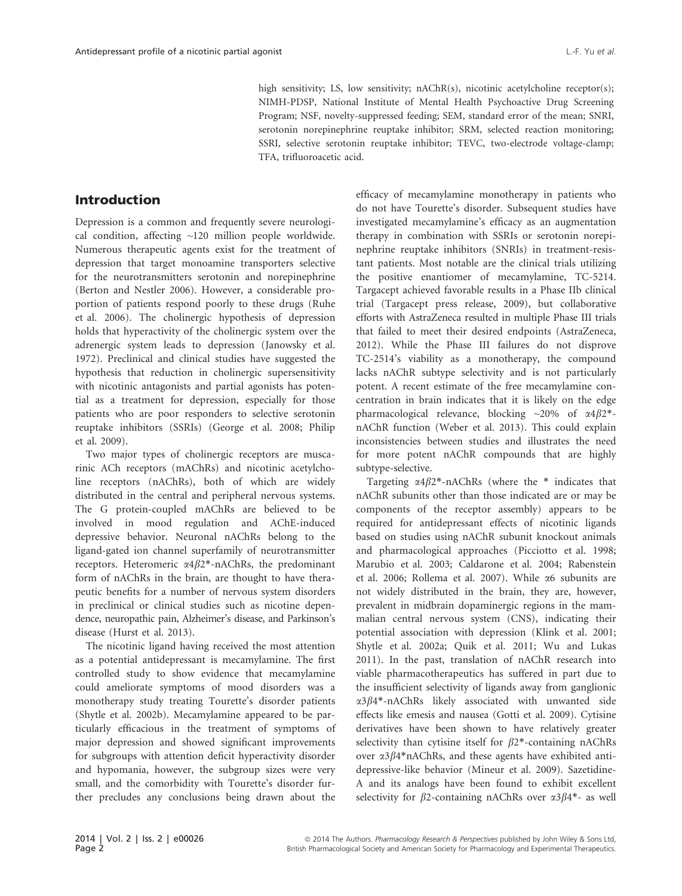high sensitivity; LS, low sensitivity; nAChR(s), nicotinic acetylcholine receptor(s); NIMH-PDSP, National Institute of Mental Health Psychoactive Drug Screening Program; NSF, novelty-suppressed feeding; SEM, standard error of the mean; SNRI, serotonin norepinephrine reuptake inhibitor; SRM, selected reaction monitoring; SSRI, selective serotonin reuptake inhibitor; TEVC, two-electrode voltage-clamp; TFA, trifluoroacetic acid.

# Introduction

Depression is a common and frequently severe neurological condition, affecting ~120 million people worldwide. Numerous therapeutic agents exist for the treatment of depression that target monoamine transporters selective for the neurotransmitters serotonin and norepinephrine (Berton and Nestler 2006). However, a considerable proportion of patients respond poorly to these drugs (Ruhe et al. 2006). The cholinergic hypothesis of depression holds that hyperactivity of the cholinergic system over the adrenergic system leads to depression (Janowsky et al. 1972). Preclinical and clinical studies have suggested the hypothesis that reduction in cholinergic supersensitivity with nicotinic antagonists and partial agonists has potential as a treatment for depression, especially for those patients who are poor responders to selective serotonin reuptake inhibitors (SSRIs) (George et al. 2008; Philip et al. 2009).

Two major types of cholinergic receptors are muscarinic ACh receptors (mAChRs) and nicotinic acetylcholine receptors (nAChRs), both of which are widely distributed in the central and peripheral nervous systems. The G protein-coupled mAChRs are believed to be involved in mood regulation and AChE-induced depressive behavior. Neuronal nAChRs belong to the ligand-gated ion channel superfamily of neurotransmitter receptors. Heteromeric  $\alpha$ 4 $\beta$ 2\*-nAChRs, the predominant form of nAChRs in the brain, are thought to have therapeutic benefits for a number of nervous system disorders in preclinical or clinical studies such as nicotine dependence, neuropathic pain, Alzheimer's disease, and Parkinson's disease (Hurst et al. 2013).

The nicotinic ligand having received the most attention as a potential antidepressant is mecamylamine. The first controlled study to show evidence that mecamylamine could ameliorate symptoms of mood disorders was a monotherapy study treating Tourette's disorder patients (Shytle et al. 2002b). Mecamylamine appeared to be particularly efficacious in the treatment of symptoms of major depression and showed significant improvements for subgroups with attention deficit hyperactivity disorder and hypomania, however, the subgroup sizes were very small, and the comorbidity with Tourette's disorder further precludes any conclusions being drawn about the

efficacy of mecamylamine monotherapy in patients who do not have Tourette's disorder. Subsequent studies have investigated mecamylamine's efficacy as an augmentation therapy in combination with SSRIs or serotonin norepinephrine reuptake inhibitors (SNRIs) in treatment-resistant patients. Most notable are the clinical trials utilizing the positive enantiomer of mecamylamine, TC-5214. Targacept achieved favorable results in a Phase IIb clinical trial (Targacept press release, 2009), but collaborative efforts with AstraZeneca resulted in multiple Phase III trials that failed to meet their desired endpoints (AstraZeneca, 2012). While the Phase III failures do not disprove TC-2514's viability as a monotherapy, the compound lacks nAChR subtype selectivity and is not particularly potent. A recent estimate of the free mecamylamine concentration in brain indicates that it is likely on the edge pharmacological relevance, blocking  $\sim$ 20% of  $\alpha$ 4 $\beta$ 2\*nAChR function (Weber et al. 2013). This could explain inconsistencies between studies and illustrates the need for more potent nAChR compounds that are highly subtype-selective.

Targeting  $\alpha$ 4 $\beta$ 2\*-nAChRs (where the \* indicates that nAChR subunits other than those indicated are or may be components of the receptor assembly) appears to be required for antidepressant effects of nicotinic ligands based on studies using nAChR subunit knockout animals and pharmacological approaches (Picciotto et al. 1998; Marubio et al. 2003; Caldarone et al. 2004; Rabenstein et al. 2006; Rollema et al. 2007). While a6 subunits are not widely distributed in the brain, they are, however, prevalent in midbrain dopaminergic regions in the mammalian central nervous system (CNS), indicating their potential association with depression (Klink et al. 2001; Shytle et al. 2002a; Quik et al. 2011; Wu and Lukas 2011). In the past, translation of nAChR research into viable pharmacotherapeutics has suffered in part due to the insufficient selectivity of ligands away from ganglionic  $\alpha$ 3 $\beta$ 4\*-nAChRs likely associated with unwanted side effects like emesis and nausea (Gotti et al. 2009). Cytisine derivatives have been shown to have relatively greater selectivity than cytisine itself for  $\beta$ 2\*-containing nAChRs over  $\alpha$ 3 $\beta$ 4\*nAChRs, and these agents have exhibited antidepressive-like behavior (Mineur et al. 2009). Sazetidine-A and its analogs have been found to exhibit excellent selectivity for  $\beta$ 2-containing nAChRs over  $\alpha$ 3 $\beta$ 4\*- as well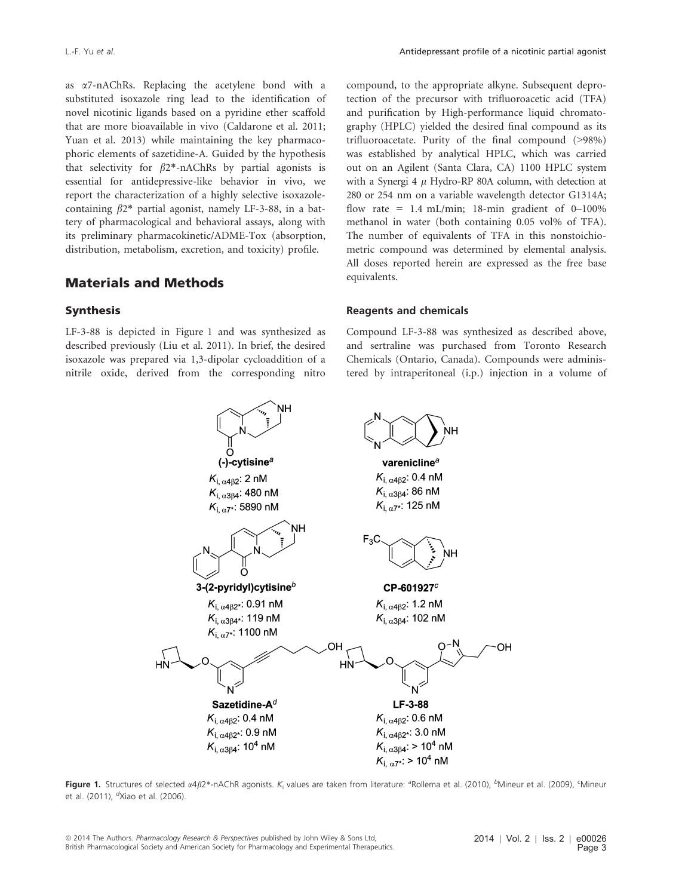as a7-nAChRs. Replacing the acetylene bond with a substituted isoxazole ring lead to the identification of novel nicotinic ligands based on a pyridine ether scaffold that are more bioavailable in vivo (Caldarone et al. 2011; Yuan et al. 2013) while maintaining the key pharmacophoric elements of sazetidine-A. Guided by the hypothesis that selectivity for  $\beta$ 2\*-nAChRs by partial agonists is essential for antidepressive-like behavior in vivo, we report the characterization of a highly selective isoxazolecontaining  $\beta$ 2\* partial agonist, namely LF-3-88, in a battery of pharmacological and behavioral assays, along with its preliminary pharmacokinetic/ADME-Tox (absorption, distribution, metabolism, excretion, and toxicity) profile.

## Materials and Methods

## Synthesis

LF-3-88 is depicted in Figure 1 and was synthesized as described previously (Liu et al. 2011). In brief, the desired isoxazole was prepared via 1,3-dipolar cycloaddition of a nitrile oxide, derived from the corresponding nitro compound, to the appropriate alkyne. Subsequent deprotection of the precursor with trifluoroacetic acid (TFA) and purification by High-performance liquid chromatography (HPLC) yielded the desired final compound as its trifluoroacetate. Purity of the final compound (>98%) was established by analytical HPLC, which was carried out on an Agilent (Santa Clara, CA) 1100 HPLC system with a Synergi 4  $\mu$  Hydro-RP 80A column, with detection at 280 or 254 nm on a variable wavelength detector G1314A; flow rate =  $1.4$  mL/min; 18-min gradient of 0-100% methanol in water (both containing 0.05 vol% of TFA). The number of equivalents of TFA in this nonstoichiometric compound was determined by elemental analysis. All doses reported herein are expressed as the free base equivalents.

#### Reagents and chemicals

Compound LF-3-88 was synthesized as described above, and sertraline was purchased from Toronto Research Chemicals (Ontario, Canada). Compounds were administered by intraperitoneal (i.p.) injection in a volume of



Figure 1. Structures of selected  $\alpha 4\beta 2^*$ -nAChR agonists.  $K_i$  values are taken from literature: <sup>a</sup>Rollema et al. (2010), <sup>b</sup>Mineur et al. (2009), <sup>c</sup>Mineur et al. (2011), <sup>d</sup>Xiao et al. (2006).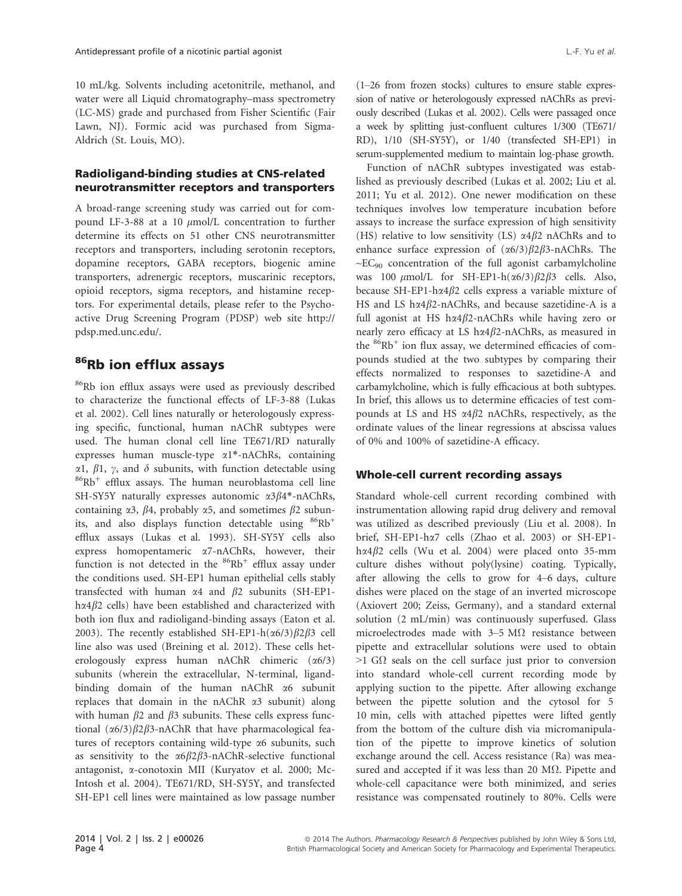10 mL/kg. Solvents including acetonitrile, methanol, and water were all Liquid chromatography–mass spectrometry (LC-MS) grade and purchased from Fisher Scientific (Fair Lawn, NJ). Formic acid was purchased from Sigma-Aldrich (St. Louis, MO).

## Radioligand-binding studies at CNS-related neurotransmitter receptors and transporters

A broad-range screening study was carried out for compound LF-3-88 at a 10  $\mu$ mol/L concentration to further determine its effects on 51 other CNS neurotransmitter receptors and transporters, including serotonin receptors, dopamine receptors, GABA receptors, biogenic amine transporters, adrenergic receptors, muscarinic receptors, opioid receptors, sigma receptors, and histamine receptors. For experimental details, please refer to the Psychoactive Drug Screening Program (PDSP) web site http:// pdsp.med.unc.edu/.

# 86Rb ion efflux assays

86Rb ion efflux assays were used as previously described to characterize the functional effects of LF-3-88 (Lukas et al. 2002). Cell lines naturally or heterologously expressing specific, functional, human nAChR subtypes were used. The human clonal cell line TE671/RD naturally expresses human muscle-type a1\*-nAChRs, containing  $\alpha$ 1,  $\beta$ 1,  $\gamma$ , and  $\delta$  subunits, with function detectable using  $86Rb$ <sup>+</sup> efflux assays. The human neuroblastoma cell line SH-SY5Y naturally expresses autonomic  $\alpha$ 3 $\beta$ 4\*-nAChRs, containing  $\alpha$ 3,  $\beta$ 4, probably  $\alpha$ 5, and sometimes  $\beta$ 2 subunits, and also displays function detectable using  ${}^{86}Rb$ <sup>+</sup> efflux assays (Lukas et al. 1993). SH-SY5Y cells also express homopentameric a7-nAChRs, however, their function is not detected in the  $86Rb^+$  efflux assay under the conditions used. SH-EP1 human epithelial cells stably transfected with human  $\alpha$ 4 and  $\beta$ 2 subunits (SH-EP1 $h\alpha4\beta2$  cells) have been established and characterized with both ion flux and radioligand-binding assays (Eaton et al. 2003). The recently established SH-EP1-h( $\alpha$ 6/3) $\beta$ 2 $\beta$ 3 cell line also was used (Breining et al. 2012). These cells heterologously express human nAChR chimeric (a6/3) subunits (wherein the extracellular, N-terminal, ligandbinding domain of the human nAChR  $\alpha$ 6 subunit replaces that domain in the nAChR  $\alpha$ 3 subunit) along with human  $\beta$ 2 and  $\beta$ 3 subunits. These cells express functional  $(\alpha 6/3)\beta 2\beta 3$ -nAChR that have pharmacological features of receptors containing wild-type a6 subunits, such as sensitivity to the  $\alpha 6\beta 2\beta 3$ -nAChR-selective functional antagonist, a-conotoxin MII (Kuryatov et al. 2000; Mc-Intosh et al. 2004). TE671/RD, SH-SY5Y, and transfected SH-EP1 cell lines were maintained as low passage number (1–26 from frozen stocks) cultures to ensure stable expression of native or heterologously expressed nAChRs as previously described (Lukas et al. 2002). Cells were passaged once a week by splitting just-confluent cultures 1/300 (TE671/ RD), 1/10 (SH-SY5Y), or 1/40 (transfected SH-EP1) in serum-supplemented medium to maintain log-phase growth.

Function of nAChR subtypes investigated was established as previously described (Lukas et al. 2002; Liu et al. 2011; Yu et al. 2012). One newer modification on these techniques involves low temperature incubation before assays to increase the surface expression of high sensitivity (HS) relative to low sensitivity (LS)  $\alpha$ 4 $\beta$ 2 nAChRs and to enhance surface expression of  $(\alpha 6/3)\beta 2\beta 3$ -nAChRs. The  $\sim$ EC<sub>90</sub> concentration of the full agonist carbamylcholine was 100  $\mu$ mol/L for SH-EP1-h( $\alpha$ 6/3) $\beta$ 2 $\beta$ 3 cells. Also, because SH-EP1-h $\alpha$ 4 $\beta$ 2 cells express a variable mixture of HS and LS h $\alpha$ 4 $\beta$ 2-nAChRs, and because sazetidine-A is a full agonist at HS h $\alpha$ 4 $\beta$ 2-nAChRs while having zero or nearly zero efficacy at LS h $\alpha$ 4 $\beta$ 2-nAChRs, as measured in the  ${}^{86}Rb$ <sup>+</sup> ion flux assay, we determined efficacies of compounds studied at the two subtypes by comparing their effects normalized to responses to sazetidine-A and carbamylcholine, which is fully efficacious at both subtypes. In brief, this allows us to determine efficacies of test compounds at LS and HS  $\alpha$ 4 $\beta$ 2 nAChRs, respectively, as the ordinate values of the linear regressions at abscissa values of 0% and 100% of sazetidine-A efficacy.

## Whole-cell current recording assays

Standard whole-cell current recording combined with instrumentation allowing rapid drug delivery and removal was utilized as described previously (Liu et al. 2008). In brief, SH-EP1-ha7 cells (Zhao et al. 2003) or SH-EP1 h $\alpha$ 4 $\beta$ 2 cells (Wu et al. 2004) were placed onto 35-mm culture dishes without poly(lysine) coating. Typically, after allowing the cells to grow for 4–6 days, culture dishes were placed on the stage of an inverted microscope (Axiovert 200; Zeiss, Germany), and a standard external solution (2 mL/min) was continuously superfused. Glass microelectrodes made with  $3-5$  M $\Omega$  resistance between pipette and extracellular solutions were used to obtain  $>1$  G $\Omega$  seals on the cell surface just prior to conversion into standard whole-cell current recording mode by applying suction to the pipette. After allowing exchange between the pipette solution and the cytosol for 5 10 min, cells with attached pipettes were lifted gently from the bottom of the culture dish via micromanipulation of the pipette to improve kinetics of solution exchange around the cell. Access resistance (Ra) was measured and accepted if it was less than 20 MΩ. Pipette and whole-cell capacitance were both minimized, and series resistance was compensated routinely to 80%. Cells were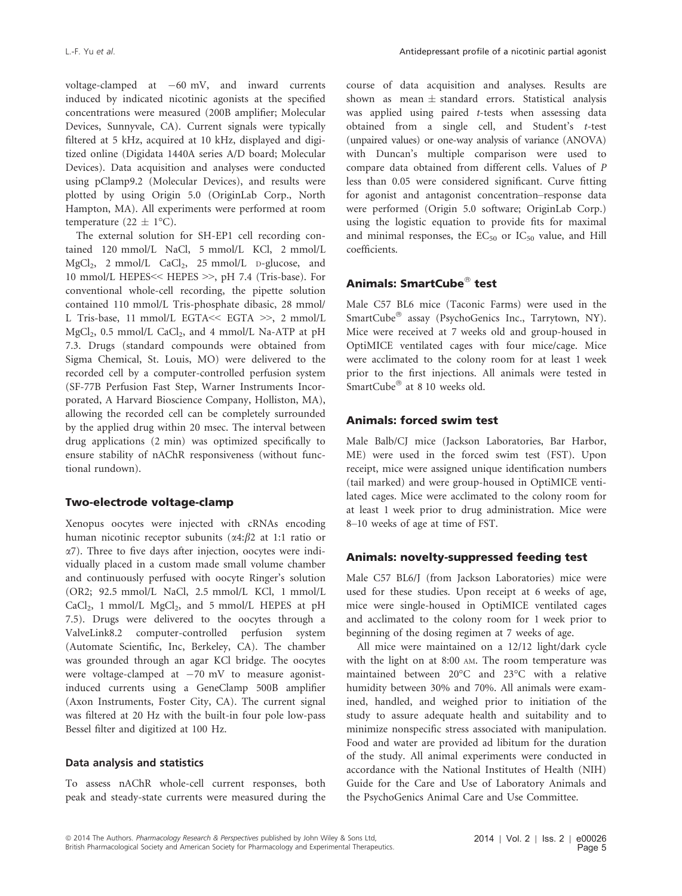voltage-clamped at  $-60$  mV, and inward currents induced by indicated nicotinic agonists at the specified concentrations were measured (200B amplifier; Molecular Devices, Sunnyvale, CA). Current signals were typically filtered at 5 kHz, acquired at 10 kHz, displayed and digitized online (Digidata 1440A series A/D board; Molecular Devices). Data acquisition and analyses were conducted using pClamp9.2 (Molecular Devices), and results were plotted by using Origin 5.0 (OriginLab Corp., North Hampton, MA). All experiments were performed at room temperature (22  $\pm$  1°C).

The external solution for SH-EP1 cell recording contained 120 mmol/L NaCl, 5 mmol/L KCl, 2 mmol/L MgCl<sub>2</sub>, 2 mmol/L CaCl<sub>2</sub>, 25 mmol/L D-glucose, and 10 mmol/L HEPES<< HEPES >>, pH 7.4 (Tris-base). For conventional whole-cell recording, the pipette solution contained 110 mmol/L Tris-phosphate dibasic, 28 mmol/ L Tris-base, 11 mmol/L EGTA<< EGTA >>, 2 mmol/L  $MgCl<sub>2</sub>$ , 0.5 mmol/L CaCl<sub>2</sub>, and 4 mmol/L Na-ATP at pH 7.3. Drugs (standard compounds were obtained from Sigma Chemical, St. Louis, MO) were delivered to the recorded cell by a computer-controlled perfusion system (SF-77B Perfusion Fast Step, Warner Instruments Incorporated, A Harvard Bioscience Company, Holliston, MA), allowing the recorded cell can be completely surrounded by the applied drug within 20 msec. The interval between drug applications (2 min) was optimized specifically to ensure stability of nAChR responsiveness (without functional rundown).

## Two-electrode voltage-clamp

Xenopus oocytes were injected with cRNAs encoding human nicotinic receptor subunits  $(\alpha 4:\beta 2 \text{ at } 1:1 \text{ ratio or})$ a7). Three to five days after injection, oocytes were individually placed in a custom made small volume chamber and continuously perfused with oocyte Ringer's solution (OR2; 92.5 mmol/L NaCl, 2.5 mmol/L KCl, 1 mmol/L  $CaCl<sub>2</sub>$ , 1 mmol/L  $MgCl<sub>2</sub>$ , and 5 mmol/L HEPES at pH 7.5). Drugs were delivered to the oocytes through a ValveLink8.2 computer-controlled perfusion system (Automate Scientific, Inc, Berkeley, CA). The chamber was grounded through an agar KCl bridge. The oocytes were voltage-clamped at  $-70$  mV to measure agonistinduced currents using a GeneClamp 500B amplifier (Axon Instruments, Foster City, CA). The current signal was filtered at 20 Hz with the built-in four pole low-pass Bessel filter and digitized at 100 Hz.

#### Data analysis and statistics

To assess nAChR whole-cell current responses, both peak and steady-state currents were measured during the course of data acquisition and analyses. Results are shown as mean  $\pm$  standard errors. Statistical analysis was applied using paired *t*-tests when assessing data obtained from a single cell, and Student's t-test (unpaired values) or one-way analysis of variance (ANOVA) with Duncan's multiple comparison were used to compare data obtained from different cells. Values of P less than 0.05 were considered significant. Curve fitting for agonist and antagonist concentration–response data were performed (Origin 5.0 software; OriginLab Corp.) using the logistic equation to provide fits for maximal and minimal responses, the  $EC_{50}$  or  $IC_{50}$  value, and Hill coefficients.

# Animals: SmartCube<sup>®</sup> test

Male C57 BL6 mice (Taconic Farms) were used in the SmartCube<sup>®</sup> assay (PsychoGenics Inc., Tarrytown, NY). Mice were received at 7 weeks old and group-housed in OptiMICE ventilated cages with four mice/cage. Mice were acclimated to the colony room for at least 1 week prior to the first injections. All animals were tested in SmartCube $^{\circledR}$  at 8 10 weeks old.

## Animals: forced swim test

Male Balb/CJ mice (Jackson Laboratories, Bar Harbor, ME) were used in the forced swim test (FST). Upon receipt, mice were assigned unique identification numbers (tail marked) and were group-housed in OptiMICE ventilated cages. Mice were acclimated to the colony room for at least 1 week prior to drug administration. Mice were 8–10 weeks of age at time of FST.

## Animals: novelty-suppressed feeding test

Male C57 BL6/J (from Jackson Laboratories) mice were used for these studies. Upon receipt at 6 weeks of age, mice were single-housed in OptiMICE ventilated cages and acclimated to the colony room for 1 week prior to beginning of the dosing regimen at 7 weeks of age.

All mice were maintained on a 12/12 light/dark cycle with the light on at 8:00 AM. The room temperature was maintained between 20°C and 23°C with a relative humidity between 30% and 70%. All animals were examined, handled, and weighed prior to initiation of the study to assure adequate health and suitability and to minimize nonspecific stress associated with manipulation. Food and water are provided ad libitum for the duration of the study. All animal experiments were conducted in accordance with the National Institutes of Health (NIH) Guide for the Care and Use of Laboratory Animals and the PsychoGenics Animal Care and Use Committee.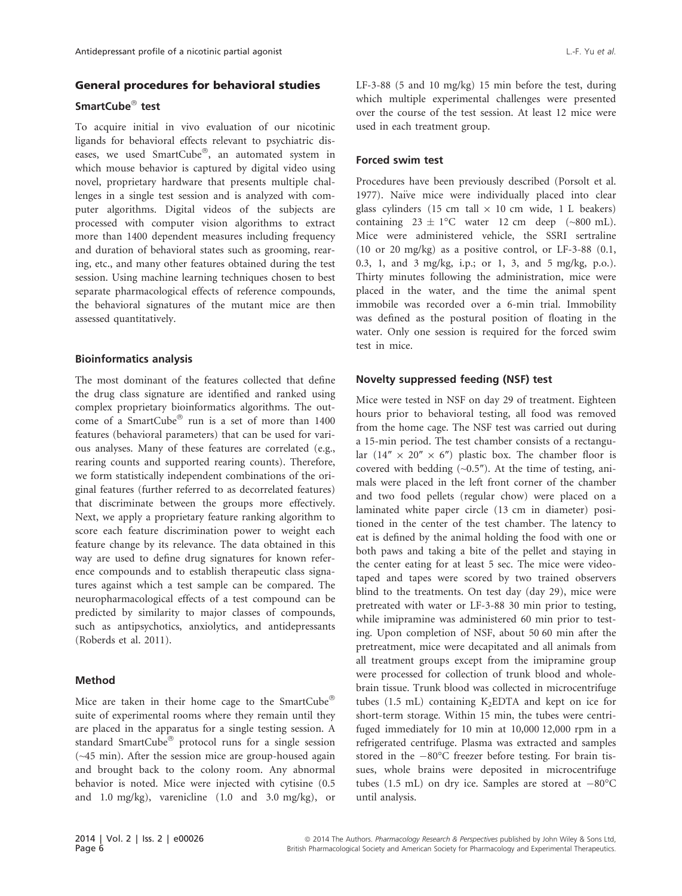## General procedures for behavioral studies

## SmartCube $^{\circledR}$  test

To acquire initial in vivo evaluation of our nicotinic ligands for behavioral effects relevant to psychiatric diseases, we used SmartCube®, an automated system in which mouse behavior is captured by digital video using novel, proprietary hardware that presents multiple challenges in a single test session and is analyzed with computer algorithms. Digital videos of the subjects are processed with computer vision algorithms to extract more than 1400 dependent measures including frequency and duration of behavioral states such as grooming, rearing, etc., and many other features obtained during the test session. Using machine learning techniques chosen to best separate pharmacological effects of reference compounds, the behavioral signatures of the mutant mice are then assessed quantitatively.

#### Bioinformatics analysis

The most dominant of the features collected that define the drug class signature are identified and ranked using complex proprietary bioinformatics algorithms. The outcome of a SmartCube<sup>®</sup> run is a set of more than  $1400$ features (behavioral parameters) that can be used for various analyses. Many of these features are correlated (e.g., rearing counts and supported rearing counts). Therefore, we form statistically independent combinations of the original features (further referred to as decorrelated features) that discriminate between the groups more effectively. Next, we apply a proprietary feature ranking algorithm to score each feature discrimination power to weight each feature change by its relevance. The data obtained in this way are used to define drug signatures for known reference compounds and to establish therapeutic class signatures against which a test sample can be compared. The neuropharmacological effects of a test compound can be predicted by similarity to major classes of compounds, such as antipsychotics, anxiolytics, and antidepressants (Roberds et al. 2011).

#### Method

Mice are taken in their home cage to the SmartCube® suite of experimental rooms where they remain until they are placed in the apparatus for a single testing session. A standard SmartCube<sup>®</sup> protocol runs for a single session (~45 min). After the session mice are group-housed again and brought back to the colony room. Any abnormal behavior is noted. Mice were injected with cytisine (0.5 and 1.0 mg/kg), varenicline (1.0 and 3.0 mg/kg), or LF-3-88 (5 and 10 mg/kg) 15 min before the test, during which multiple experimental challenges were presented over the course of the test session. At least 12 mice were used in each treatment group.

#### Forced swim test

Procedures have been previously described (Porsolt et al. 1977). Naïve mice were individually placed into clear glass cylinders (15 cm tall  $\times$  10 cm wide, 1 L beakers) containing  $23 \pm 1$ °C water 12 cm deep (~800 mL). Mice were administered vehicle, the SSRI sertraline (10 or 20 mg/kg) as a positive control, or LF-3-88 (0.1, 0.3, 1, and 3 mg/kg, i.p.; or 1, 3, and 5 mg/kg, p.o.). Thirty minutes following the administration, mice were placed in the water, and the time the animal spent immobile was recorded over a 6-min trial. Immobility was defined as the postural position of floating in the water. Only one session is required for the forced swim test in mice.

#### Novelty suppressed feeding (NSF) test

Mice were tested in NSF on day 29 of treatment. Eighteen hours prior to behavioral testing, all food was removed from the home cage. The NSF test was carried out during a 15-min period. The test chamber consists of a rectangular  $(14'' \times 20'' \times 6'')$  plastic box. The chamber floor is covered with bedding  $(\sim 0.5)$ . At the time of testing, animals were placed in the left front corner of the chamber and two food pellets (regular chow) were placed on a laminated white paper circle (13 cm in diameter) positioned in the center of the test chamber. The latency to eat is defined by the animal holding the food with one or both paws and taking a bite of the pellet and staying in the center eating for at least 5 sec. The mice were videotaped and tapes were scored by two trained observers blind to the treatments. On test day (day 29), mice were pretreated with water or LF-3-88 30 min prior to testing, while imipramine was administered 60 min prior to testing. Upon completion of NSF, about 50 60 min after the pretreatment, mice were decapitated and all animals from all treatment groups except from the imipramine group were processed for collection of trunk blood and wholebrain tissue. Trunk blood was collected in microcentrifuge tubes (1.5 mL) containing  $K_2EDTA$  and kept on ice for short-term storage. Within 15 min, the tubes were centrifuged immediately for 10 min at 10,000 12,000 rpm in a refrigerated centrifuge. Plasma was extracted and samples stored in the  $-80^{\circ}$ C freezer before testing. For brain tissues, whole brains were deposited in microcentrifuge tubes (1.5 mL) on dry ice. Samples are stored at  $-80^{\circ}$ C until analysis.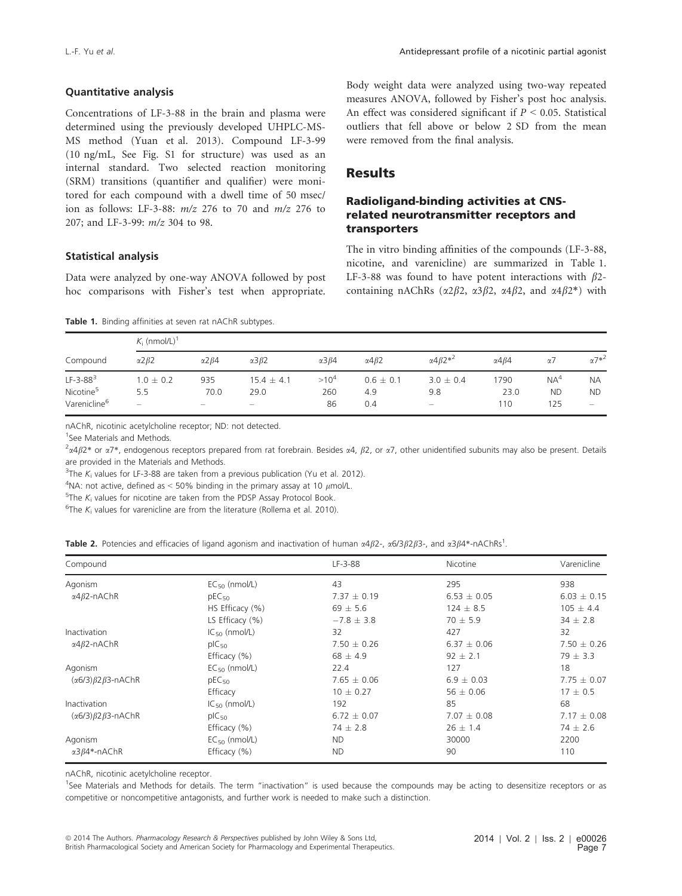#### Quantitative analysis

Concentrations of LF-3-88 in the brain and plasma were determined using the previously developed UHPLC-MS-MS method (Yuan et al. 2013). Compound LF-3-99 (10 ng/mL, See Fig. S1 for structure) was used as an internal standard. Two selected reaction monitoring (SRM) transitions (quantifier and qualifier) were monitored for each compound with a dwell time of 50 msec/ ion as follows: LF-3-88:  $m/z$  276 to 70 and  $m/z$  276 to 207; and LF-3-99: m/z 304 to 98.

#### Statistical analysis

Data were analyzed by one-way ANOVA followed by post hoc comparisons with Fisher's test when appropriate.

#### Table 1. Binding affinities at seven rat nAChR subtypes.

Body weight data were analyzed using two-way repeated measures ANOVA, followed by Fisher's post hoc analysis. An effect was considered significant if  $P \leq 0.05$ . Statistical outliers that fell above or below 2 SD from the mean were removed from the final analysis.

# Results

## Radioligand-binding activities at CNSrelated neurotransmitter receptors and transporters

The in vitro binding affinities of the compounds (LF-3-88, nicotine, and varenicline) are summarized in Table 1. LF-3-88 was found to have potent interactions with  $\beta$ 2containing nAChRs ( $\alpha$ 2 $\beta$ 2,  $\alpha$ 3 $\beta$ 2,  $\alpha$ 4 $\beta$ 2, and  $\alpha$ 4 $\beta$ 2\*) with

.

| Compound                 | $K_i$ (nmol/L) <sup>1</sup> |                      |                      |                      |                      |                                    |                      |                 |                          |
|--------------------------|-----------------------------|----------------------|----------------------|----------------------|----------------------|------------------------------------|----------------------|-----------------|--------------------------|
|                          | $\alpha$ 2 $\beta$ 2        | $\alpha$ 2 $\beta$ 4 | $\alpha$ 3 $\beta$ 2 | $\alpha$ 3 $\beta$ 4 | $\alpha$ 4 $\beta$ 2 | $\alpha$ 4 $\beta$ 2 <sup>*2</sup> | $\alpha$ 4 $\beta$ 4 | α7              | $\alpha$ 7* <sup>2</sup> |
| $LF-3-883$               | $1.0 \pm 0.2$               | 935                  | $15.4 \pm 4.1$       | $>10^4$              | $0.6 \pm 0.1$        | $3.0 \pm 0.4$                      | 1790                 | NA <sup>4</sup> | <b>NA</b>                |
| Nicotine <sup>5</sup>    | 5.5                         | 70.0                 | 29.0                 | 260                  | 4.9                  | 9.8                                | 23.0                 | <b>ND</b>       | <b>ND</b>                |
| Varenicline <sup>6</sup> | $\hspace{0.05cm}$           |                      | $\hspace{0.05cm}$    | 86                   | 0.4                  | $\qquad \qquad -$                  | 110                  | 125             | $\qquad \qquad -$        |

nAChR, nicotinic acetylcholine receptor; ND: not detected.

1 See Materials and Methods.

 $^2\alpha4\beta2*$  or  $\alpha7*$ , endogenous receptors prepared from rat forebrain. Besides  $\alpha4$ ,  $\beta2$ , or  $\alpha7$ , other unidentified subunits may also be present. Details are provided in the Materials and Methods.

<sup>3</sup>The  $K_i$  values for LF-3-88 are taken from a previous publication (Yu et al. 2012).

 $^{4}$ NA: not active, defined as < 50% binding in the primary assay at 10  $\mu$ mol/L.

 $5$ The  $K_i$  values for nicotine are taken from the PDSP Assay Protocol Book.

<sup>6</sup>The  $K_i$  values for varenicline are from the literature (Rollema et al. 2010).

|  |  | Table 2. Potencies and efficacies of ligand agonism and inactivation of human $\alpha 4\beta 2$ -, $\alpha 6/3\beta 2\beta 3$ -, and $\alpha 3\beta 4$ *-nAChRs <sup>1</sup> |  |  |
|--|--|------------------------------------------------------------------------------------------------------------------------------------------------------------------------------|--|--|
|--|--|------------------------------------------------------------------------------------------------------------------------------------------------------------------------------|--|--|

| Compound                            |                    | LF-3-88         | Nicotine        | Varenicline     |  |
|-------------------------------------|--------------------|-----------------|-----------------|-----------------|--|
| Agonism                             | $EC_{50}$ (nmol/L) | 43              | 295             | 938             |  |
| $\alpha$ 4 $\beta$ 2-nAChR          | $pEC_{50}$         | $7.37 \pm 0.19$ | $6.53 \pm 0.05$ | $6.03 \pm 0.15$ |  |
|                                     | HS Efficacy (%)    | $69 \pm 5.6$    | $124 \pm 8.5$   | $105 \pm 4.4$   |  |
|                                     | LS Efficacy $(\%)$ | $-7.8 \pm 3.8$  | $70 \pm 5.9$    | $34 \pm 2.8$    |  |
| Inactivation                        | $IC_{50}$ (nmol/L) | 32              | 427             | 32              |  |
| $\alpha$ 4 $\beta$ 2-nAChR          | $pIC_{50}$         | $7.50 \pm 0.26$ | $6.37 \pm 0.06$ | $7.50 \pm 0.26$ |  |
|                                     | Efficacy (%)       | $68 \pm 4.9$    | $92 \pm 2.1$    | $79 \pm 3.3$    |  |
| Agonism                             | $EC_{50}$ (nmol/L) | 22.4            | 127             | 18              |  |
| $(\alpha 6/3)\beta 2\beta 3$ -nAChR | $pEC_{50}$         | $7.65 \pm 0.06$ | $6.9 \pm 0.03$  | $7.75 \pm 0.07$ |  |
|                                     | Efficacy           | $10 \pm 0.27$   | $56 \pm 0.06$   | $17 \pm 0.5$    |  |
| Inactivation                        | $IC_{50}$ (nmol/L) | 192             | 85              | 68              |  |
| $(\alpha 6/3)\beta 2\beta 3$ -nAChR | $pIC_{50}$         | $6.72 \pm 0.07$ | $7.07 \pm 0.08$ | $7.17 \pm 0.08$ |  |
|                                     | Efficacy (%)       | $74 \pm 2.8$    | $26 \pm 1.4$    | $74 \pm 2.6$    |  |
| Agonism                             | $EC_{50}$ (nmol/L) | ND.             | 30000           | 2200            |  |
| $\alpha$ 3 $\beta$ 4*-nAChR         | Efficacy (%)       | <b>ND</b>       | 90              | 110             |  |

nAChR, nicotinic acetylcholine receptor.

<sup>1</sup>See Materials and Methods for details. The term "inactivation" is used because the compounds may be acting to desensitize receptors or as competitive or noncompetitive antagonists, and further work is needed to make such a distinction.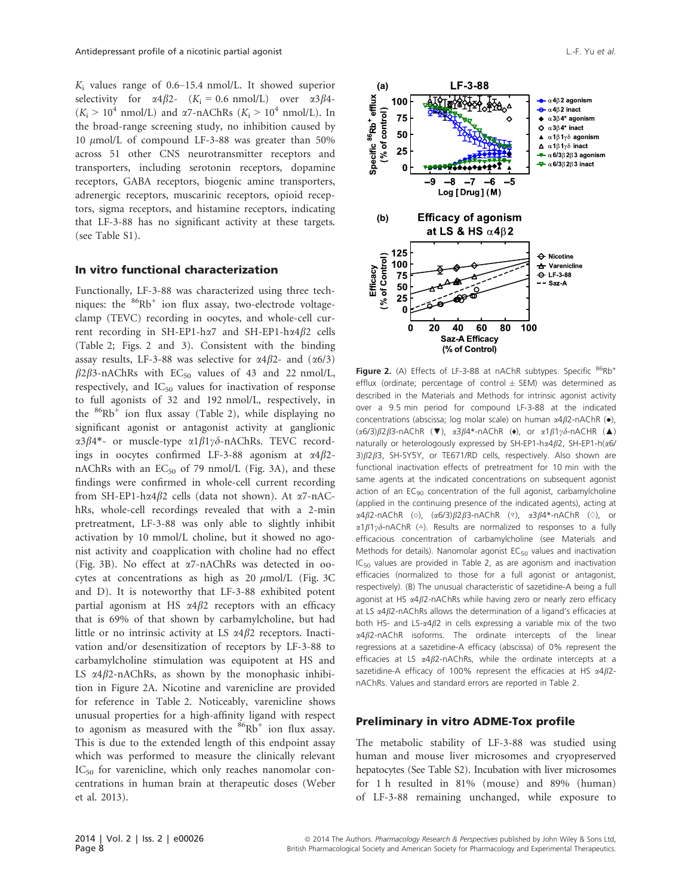$K_i$  values range of 0.6–15.4 nmol/L. It showed superior selectivity for  $\alpha 4\beta 2$ -  $(K_i = 0.6 \text{ nmol/L})$  over  $\alpha 3\beta 4$ - $(K_i > 10^4 \text{ nmol/L})$  and  $\alpha$ 7-nAChRs  $(K_i > 10^4 \text{ nmol/L})$ . In the broad-range screening study, no inhibition caused by 10 umol/L of compound LF-3-88 was greater than 50% across 51 other CNS neurotransmitter receptors and transporters, including serotonin receptors, dopamine receptors, GABA receptors, biogenic amine transporters, adrenergic receptors, muscarinic receptors, opioid receptors, sigma receptors, and histamine receptors, indicating that LF-3-88 has no significant activity at these targets. (see Table S1).

## In vitro functional characterization

Functionally, LF-3-88 was characterized using three techniques: the  $86Rb^{+}$  ion flux assay, two-electrode voltageclamp (TEVC) recording in oocytes, and whole-cell current recording in SH-EP1-ha7 and SH-EP1-ha4 $\beta$ 2 cells (Table 2; Figs. 2 and 3). Consistent with the binding assay results, LF-3-88 was selective for  $\alpha$ 4 $\beta$ 2- and  $(\alpha$ 6/3)  $\beta$ 2 $\beta$ 3-nAChRs with EC<sub>50</sub> values of 43 and 22 nmol/L, respectively, and  $IC_{50}$  values for inactivation of response to full agonists of 32 and 192 nmol/L, respectively, in the  $86Rb$ <sup>+</sup> ion flux assay (Table 2), while displaying no significant agonist or antagonist activity at ganglionic  $\alpha$ 3 $\beta$ 4\*- or muscle-type  $\alpha$ 1 $\beta$ 1 $\gamma$  $\delta$ -nAChRs. TEVC recordings in oocytes confirmed LF-3-88 agonism at  $\alpha$ 4 $\beta$ 2nAChRs with an  $EC_{50}$  of 79 nmol/L (Fig. 3A), and these findings were confirmed in whole-cell current recording from SH-EP1-h $\alpha$ 4 $\beta$ 2 cells (data not shown). At  $\alpha$ 7-nAChRs, whole-cell recordings revealed that with a 2-min pretreatment, LF-3-88 was only able to slightly inhibit activation by 10 mmol/L choline, but it showed no agonist activity and coapplication with choline had no effect (Fig. 3B). No effect at a7-nAChRs was detected in oocytes at concentrations as high as 20  $\mu$ mol/L (Fig. 3C) and D). It is noteworthy that LF-3-88 exhibited potent partial agonism at HS  $\alpha$ 4 $\beta$ 2 receptors with an efficacy that is 69% of that shown by carbamylcholine, but had little or no intrinsic activity at LS  $\alpha$ 4 $\beta$ 2 receptors. Inactivation and/or desensitization of receptors by LF-3-88 to carbamylcholine stimulation was equipotent at HS and LS  $\alpha$ 4 $\beta$ 2-nAChRs, as shown by the monophasic inhibition in Figure 2A. Nicotine and varenicline are provided for reference in Table 2. Noticeably, varenicline shows unusual properties for a high-affinity ligand with respect to agonism as measured with the  $86Rb^+$  ion flux assay. This is due to the extended length of this endpoint assay which was performed to measure the clinically relevant  $IC_{50}$  for varenicline, which only reaches nanomolar concentrations in human brain at therapeutic doses (Weber et al. 2013).



**Figure 2.** (A) Effects of LF-3-88 at nAChR subtypes. Specific  ${}^{86}$ Rb<sup>+</sup> efflux (ordinate; percentage of control  $\pm$  SEM) was determined as described in the Materials and Methods for intrinsic agonist activity over a 9.5 min period for compound LF-3-88 at the indicated concentrations (abscissa; log molar scale) on human  $\alpha$ 4 $\beta$ 2-nAChR ( $\bullet$ ),  $(\alpha 6/3)\beta 2\beta 3$ -nAChR (▼),  $\alpha 3\beta 4^*$ -nAChR (◆), or  $\alpha 1\beta 1\gamma\delta$ -nACHR (▲) naturally or heterologously expressed by SH-EP1-h $\alpha$ 4 $\beta$ 2, SH-EP1-h $\alpha$ 6/ 3)  $\beta$ 2 $\beta$ 3, SH-SY5Y, or TE671/RD cells, respectively. Also shown are functional inactivation effects of pretreatment for 10 min with the same agents at the indicated concentrations on subsequent agonist action of an  $EC_{90}$  concentration of the full agonist, carbamylcholine (applied in the continuing presence of the indicated agents), acting at  $\alpha$ 4 $\beta$ 2-nAChR (◇),  $(\alpha$ 6/3) $\beta$ 2 $\beta$ 3-nAChR (▽),  $\alpha$ 3 $\beta$ 4\*-nAChR (◇), or  $\alpha$ 1 $\beta$ 1 $\gamma$  $\delta$ -nAChR ( $\triangle$ ). Results are normalized to responses to a fully efficacious concentration of carbamylcholine (see Materials and Methods for details). Nanomolar agonist  $EC_{50}$  values and inactivation IC<sub>50</sub> values are provided in Table 2, as are agonism and inactivation efficacies (normalized to those for a full agonist or antagonist, respectively). (B) The unusual characteristic of sazetidine-A being a full agonist at HS  $\alpha$ 4 $\beta$ 2-nAChRs while having zero or nearly zero efficacy at LS  $\alpha$ 4 $\beta$ 2-nAChRs allows the determination of a ligand's efficacies at both HS- and LS- $\alpha$ 4 $\beta$ 2 in cells expressing a variable mix of the two  $\alpha$ 4 $\beta$ 2-nAChR isoforms. The ordinate intercepts of the linear regressions at a sazetidine-A efficacy (abscissa) of 0% represent the efficacies at LS  $\alpha$ 4 $\beta$ 2-nAChRs, while the ordinate intercepts at a sazetidine-A efficacy of 100% represent the efficacies at HS  $\alpha$ 4 $\beta$ 2nAChRs. Values and standard errors are reported in Table 2.

## Preliminary in vitro ADME-Tox profile

The metabolic stability of LF-3-88 was studied using human and mouse liver microsomes and cryopreserved hepatocytes (See Table S2). Incubation with liver microsomes for 1 h resulted in 81% (mouse) and 89% (human) of LF-3-88 remaining unchanged, while exposure to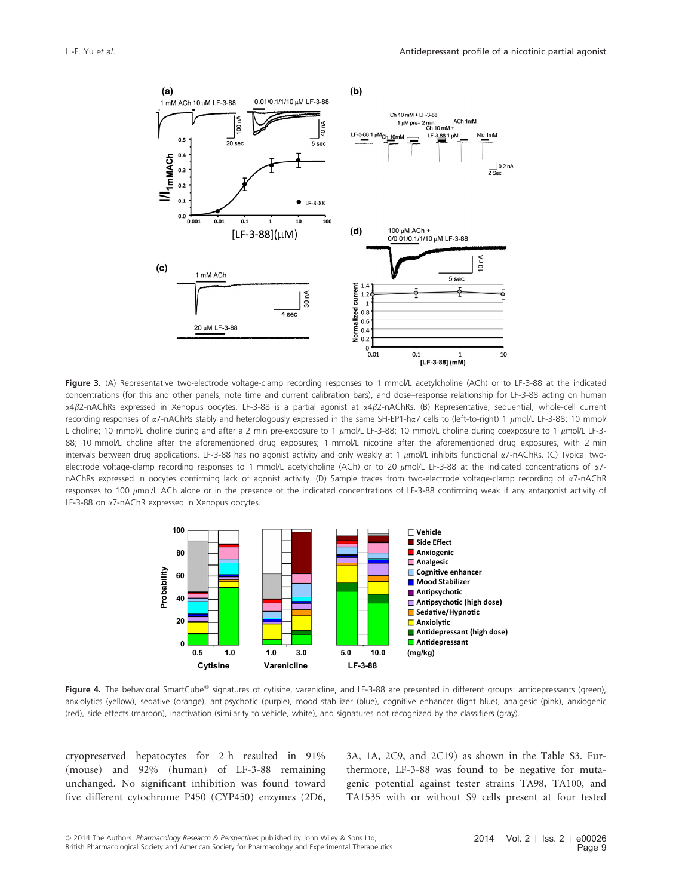

Figure 3. (A) Representative two-electrode voltage-clamp recording responses to 1 mmol/L acetylcholine (ACh) or to LF-3-88 at the indicated concentrations (for this and other panels, note time and current calibration bars), and dose–response relationship for LF-3-88 acting on human α4β2-nAChRs expressed in Xenopus oocytes. LF-3-88 is a partial agonist at α4β2-nAChRs. (B) Representative, sequential, whole-cell current recording responses of  $\alpha$ 7-nAChRs stably and heterologously expressed in the same SH-EP1-h $\alpha$ 7 cells to (left-to-right) 1  $\mu$ mol/L LF-3-88; 10 mmol/ L choline; 10 mmol/L choline during and after a 2 min pre-exposure to 1  $\mu$ mol/L LF-3-88; 10 mmol/L choline during coexposure to 1  $\mu$ mol/L LF-3-88; 10 mmol/L choline after the aforementioned drug exposures; 1 mmol/L nicotine after the aforementioned drug exposures, with 2 min intervals between drug applications. LF-3-88 has no agonist activity and only weakly at 1  $\mu$ mol/L inhibits functional  $\alpha$ 7-nAChRs. (C) Typical twoelectrode voltage-clamp recording responses to 1 mmol/L acetylcholine (ACh) or to 20  $\mu$ mol/L LF-3-88 at the indicated concentrations of  $\alpha$ 7nAChRs expressed in oocytes confirming lack of agonist activity. (D) Sample traces from two-electrode voltage-clamp recording of a7-nAChR responses to 100 umol/L ACh alone or in the presence of the indicated concentrations of LF-3-88 confirming weak if any antagonist activity of LF-3-88 on a7-nAChR expressed in Xenopus oocytes.



Figure 4. The behavioral SmartCube<sup>®</sup> signatures of cytisine, varenicline, and LF-3-88 are presented in different groups: antidepressants (green), anxiolytics (yellow), sedative (orange), antipsychotic (purple), mood stabilizer (blue), cognitive enhancer (light blue), analgesic (pink), anxiogenic (red), side effects (maroon), inactivation (similarity to vehicle, white), and signatures not recognized by the classifiers (gray).

cryopreserved hepatocytes for 2 h resulted in 91% (mouse) and 92% (human) of LF-3-88 remaining unchanged. No significant inhibition was found toward five different cytochrome P450 (CYP450) enzymes (2D6, 3A, 1A, 2C9, and 2C19) as shown in the Table S3. Furthermore, LF-3-88 was found to be negative for mutagenic potential against tester strains TA98, TA100, and TA1535 with or without S9 cells present at four tested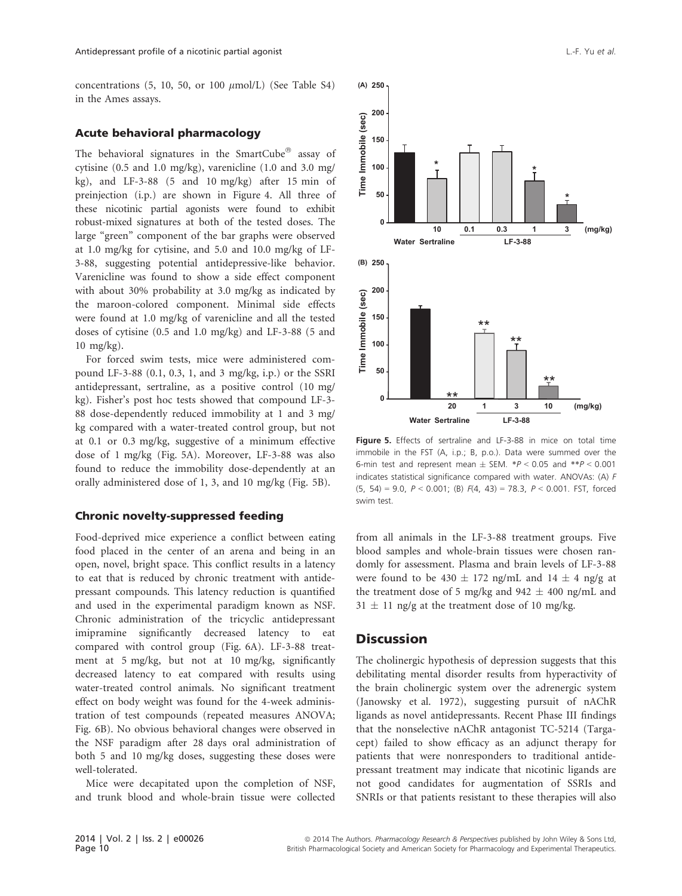concentrations (5, 10, 50, or 100  $\mu$ mol/L) (See Table S4) in the Ames assays.

## Acute behavioral pharmacology

The behavioral signatures in the SmartCube $^\circ$  assay of cytisine (0.5 and 1.0 mg/kg), varenicline (1.0 and 3.0 mg/ kg), and LF-3-88 (5 and 10 mg/kg) after 15 min of preinjection (i.p.) are shown in Figure 4. All three of these nicotinic partial agonists were found to exhibit robust-mixed signatures at both of the tested doses. The large "green" component of the bar graphs were observed at 1.0 mg/kg for cytisine, and 5.0 and 10.0 mg/kg of LF-3-88, suggesting potential antidepressive-like behavior. Varenicline was found to show a side effect component with about 30% probability at 3.0 mg/kg as indicated by the maroon-colored component. Minimal side effects were found at 1.0 mg/kg of varenicline and all the tested doses of cytisine (0.5 and 1.0 mg/kg) and LF-3-88 (5 and 10 mg/kg).

For forced swim tests, mice were administered compound LF-3-88 (0.1, 0.3, 1, and 3 mg/kg, i.p.) or the SSRI antidepressant, sertraline, as a positive control (10 mg/ kg). Fisher's post hoc tests showed that compound LF-3- 88 dose-dependently reduced immobility at 1 and 3 mg/ kg compared with a water-treated control group, but not at 0.1 or 0.3 mg/kg, suggestive of a minimum effective dose of 1 mg/kg (Fig. 5A). Moreover, LF-3-88 was also found to reduce the immobility dose-dependently at an orally administered dose of 1, 3, and 10 mg/kg (Fig. 5B).

## Chronic novelty-suppressed feeding

Food-deprived mice experience a conflict between eating food placed in the center of an arena and being in an open, novel, bright space. This conflict results in a latency to eat that is reduced by chronic treatment with antidepressant compounds. This latency reduction is quantified and used in the experimental paradigm known as NSF. Chronic administration of the tricyclic antidepressant imipramine significantly decreased latency to eat compared with control group (Fig. 6A). LF-3-88 treatment at 5 mg/kg, but not at 10 mg/kg, significantly decreased latency to eat compared with results using water-treated control animals. No significant treatment effect on body weight was found for the 4-week administration of test compounds (repeated measures ANOVA; Fig. 6B). No obvious behavioral changes were observed in the NSF paradigm after 28 days oral administration of both 5 and 10 mg/kg doses, suggesting these doses were well-tolerated.

Mice were decapitated upon the completion of NSF, and trunk blood and whole-brain tissue were collected



Figure 5. Effects of sertraline and LF-3-88 in mice on total time immobile in the FST (A, i.p.; B, p.o.). Data were summed over the 6-min test and represent mean  $\pm$  SEM.  $*P < 0.05$  and  $*P < 0.001$ indicates statistical significance compared with water. ANOVAs: (A) F (5, 54) = 9.0,  $P < 0.001$ ; (B)  $F(4, 43) = 78.3$ ,  $P < 0.001$ . FST, forced swim test.

from all animals in the LF-3-88 treatment groups. Five blood samples and whole-brain tissues were chosen randomly for assessment. Plasma and brain levels of LF-3-88 were found to be 430  $\pm$  172 ng/mL and 14  $\pm$  4 ng/g at the treatment dose of 5 mg/kg and 942  $\pm$  400 ng/mL and  $31 \pm 11$  ng/g at the treatment dose of 10 mg/kg.

## **Discussion**

The cholinergic hypothesis of depression suggests that this debilitating mental disorder results from hyperactivity of the brain cholinergic system over the adrenergic system (Janowsky et al. 1972), suggesting pursuit of nAChR ligands as novel antidepressants. Recent Phase III findings that the nonselective nAChR antagonist TC-5214 (Targacept) failed to show efficacy as an adjunct therapy for patients that were nonresponders to traditional antidepressant treatment may indicate that nicotinic ligands are not good candidates for augmentation of SSRIs and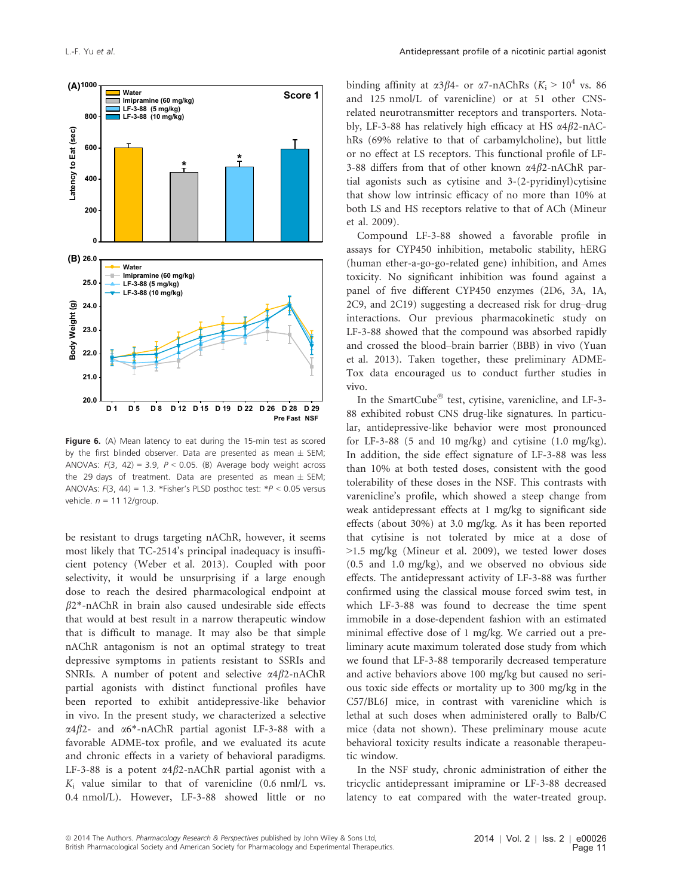

Figure 6. (A) Mean latency to eat during the 15-min test as scored by the first blinded observer. Data are presented as mean  $\pm$  SEM; ANOVAs:  $F(3, 42) = 3.9$ ,  $P < 0.05$ . (B) Average body weight across the 29 days of treatment. Data are presented as mean  $\pm$  SEM; ANOVAs:  $F(3, 44) = 1.3$ . \*Fisher's PLSD posthoc test: \* $P < 0.05$  versus vehicle.  $n = 11$  12/group.

be resistant to drugs targeting nAChR, however, it seems most likely that TC-2514's principal inadequacy is insufficient potency (Weber et al. 2013). Coupled with poor selectivity, it would be unsurprising if a large enough dose to reach the desired pharmacological endpoint at  $\beta$ 2\*-nAChR in brain also caused undesirable side effects that would at best result in a narrow therapeutic window that is difficult to manage. It may also be that simple nAChR antagonism is not an optimal strategy to treat depressive symptoms in patients resistant to SSRIs and SNRIs. A number of potent and selective  $\alpha$ 4 $\beta$ 2-nAChR partial agonists with distinct functional profiles have been reported to exhibit antidepressive-like behavior in vivo. In the present study, we characterized a selective  $\alpha$ 4 $\beta$ 2- and  $\alpha$ 6<sup>\*</sup>-nAChR partial agonist LF-3-88 with a favorable ADME-tox profile, and we evaluated its acute and chronic effects in a variety of behavioral paradigms. LF-3-88 is a potent  $\alpha$ 4 $\beta$ 2-nAChR partial agonist with a  $K_i$  value similar to that of varenicline (0.6 nml/L vs. 0.4 nmol/L). However, LF-3-88 showed little or no binding affinity at  $\alpha 3\beta 4$ - or  $\alpha 7$ -nAChRs ( $K_i > 10^4$  vs. 86) and 125 nmol/L of varenicline) or at 51 other CNSrelated neurotransmitter receptors and transporters. Notably, LF-3-88 has relatively high efficacy at HS  $\alpha$ 4 $\beta$ 2-nAChRs (69% relative to that of carbamylcholine), but little or no effect at LS receptors. This functional profile of LF-3-88 differs from that of other known  $\alpha$ 4 $\beta$ 2-nAChR partial agonists such as cytisine and 3-(2-pyridinyl)cytisine that show low intrinsic efficacy of no more than 10% at both LS and HS receptors relative to that of ACh (Mineur et al. 2009).

Compound LF-3-88 showed a favorable profile in assays for CYP450 inhibition, metabolic stability, hERG (human ether-a-go-go-related gene) inhibition, and Ames toxicity. No significant inhibition was found against a panel of five different CYP450 enzymes (2D6, 3A, 1A, 2C9, and 2C19) suggesting a decreased risk for drug–drug interactions. Our previous pharmacokinetic study on LF-3-88 showed that the compound was absorbed rapidly and crossed the blood–brain barrier (BBB) in vivo (Yuan et al. 2013). Taken together, these preliminary ADME-Tox data encouraged us to conduct further studies in vivo.

In the SmartCube $^{\circledR}$  test, cytisine, varenicline, and LF-3-88 exhibited robust CNS drug-like signatures. In particular, antidepressive-like behavior were most pronounced for LF-3-88 (5 and 10 mg/kg) and cytisine  $(1.0 \text{ mg/kg})$ . In addition, the side effect signature of LF-3-88 was less than 10% at both tested doses, consistent with the good tolerability of these doses in the NSF. This contrasts with varenicline's profile, which showed a steep change from weak antidepressant effects at 1 mg/kg to significant side effects (about 30%) at 3.0 mg/kg. As it has been reported that cytisine is not tolerated by mice at a dose of >1.5 mg/kg (Mineur et al. 2009), we tested lower doses (0.5 and 1.0 mg/kg), and we observed no obvious side effects. The antidepressant activity of LF-3-88 was further confirmed using the classical mouse forced swim test, in which LF-3-88 was found to decrease the time spent immobile in a dose-dependent fashion with an estimated minimal effective dose of 1 mg/kg. We carried out a preliminary acute maximum tolerated dose study from which we found that LF-3-88 temporarily decreased temperature and active behaviors above 100 mg/kg but caused no serious toxic side effects or mortality up to 300 mg/kg in the C57/BL6J mice, in contrast with varenicline which is lethal at such doses when administered orally to Balb/C mice (data not shown). These preliminary mouse acute behavioral toxicity results indicate a reasonable therapeutic window.

In the NSF study, chronic administration of either the tricyclic antidepressant imipramine or LF-3-88 decreased latency to eat compared with the water-treated group.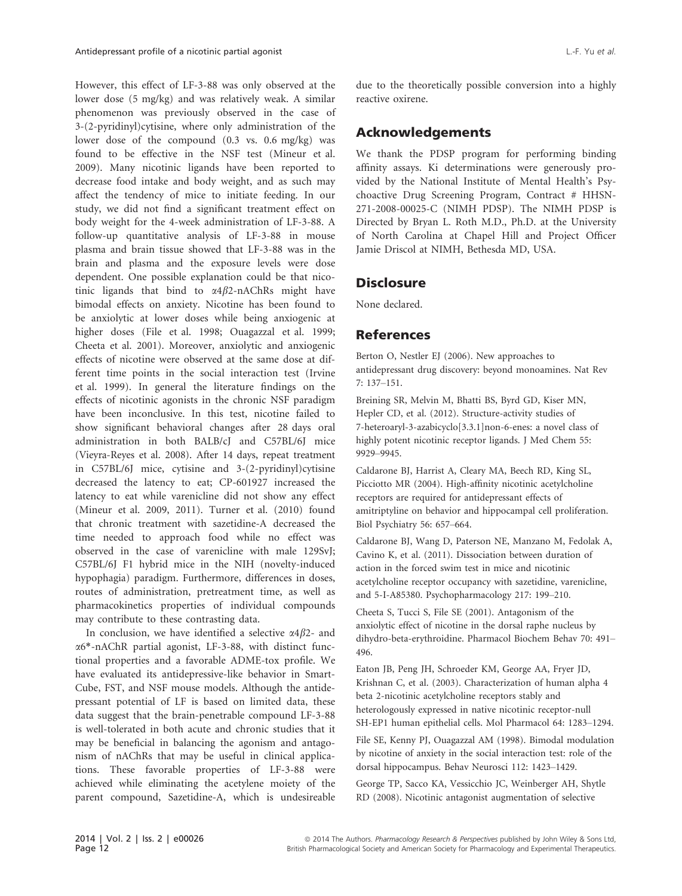However, this effect of LF-3-88 was only observed at the lower dose (5 mg/kg) and was relatively weak. A similar phenomenon was previously observed in the case of 3-(2-pyridinyl)cytisine, where only administration of the lower dose of the compound (0.3 vs. 0.6 mg/kg) was found to be effective in the NSF test (Mineur et al. 2009). Many nicotinic ligands have been reported to decrease food intake and body weight, and as such may affect the tendency of mice to initiate feeding. In our study, we did not find a significant treatment effect on body weight for the 4-week administration of LF-3-88. A follow-up quantitative analysis of LF-3-88 in mouse plasma and brain tissue showed that LF-3-88 was in the brain and plasma and the exposure levels were dose dependent. One possible explanation could be that nicotinic ligands that bind to  $\alpha$ 4 $\beta$ 2-nAChRs might have bimodal effects on anxiety. Nicotine has been found to be anxiolytic at lower doses while being anxiogenic at higher doses (File et al. 1998; Ouagazzal et al. 1999; Cheeta et al. 2001). Moreover, anxiolytic and anxiogenic effects of nicotine were observed at the same dose at different time points in the social interaction test (Irvine et al. 1999). In general the literature findings on the effects of nicotinic agonists in the chronic NSF paradigm have been inconclusive. In this test, nicotine failed to show significant behavioral changes after 28 days oral administration in both BALB/cJ and C57BL/6J mice (Vieyra-Reyes et al. 2008). After 14 days, repeat treatment in C57BL/6J mice, cytisine and 3-(2-pyridinyl)cytisine decreased the latency to eat; CP-601927 increased the latency to eat while varenicline did not show any effect (Mineur et al. 2009, 2011). Turner et al. (2010) found that chronic treatment with sazetidine-A decreased the time needed to approach food while no effect was observed in the case of varenicline with male 129SvJ; C57BL/6J F1 hybrid mice in the NIH (novelty-induced hypophagia) paradigm. Furthermore, differences in doses, routes of administration, pretreatment time, as well as pharmacokinetics properties of individual compounds may contribute to these contrasting data.

In conclusion, we have identified a selective  $\alpha$ 4 $\beta$ 2- and a6\*-nAChR partial agonist, LF-3-88, with distinct functional properties and a favorable ADME-tox profile. We have evaluated its antidepressive-like behavior in Smart-Cube, FST, and NSF mouse models. Although the antidepressant potential of LF is based on limited data, these data suggest that the brain-penetrable compound LF-3-88 is well-tolerated in both acute and chronic studies that it may be beneficial in balancing the agonism and antagonism of nAChRs that may be useful in clinical applications. These favorable properties of LF-3-88 were achieved while eliminating the acetylene moiety of the parent compound, Sazetidine-A, which is undesireable due to the theoretically possible conversion into a highly reactive oxirene.

## Acknowledgements

We thank the PDSP program for performing binding affinity assays. Ki determinations were generously provided by the National Institute of Mental Health's Psychoactive Drug Screening Program, Contract # HHSN-271-2008-00025-C (NIMH PDSP). The NIMH PDSP is Directed by Bryan L. Roth M.D., Ph.D. at the University of North Carolina at Chapel Hill and Project Officer Jamie Driscol at NIMH, Bethesda MD, USA.

## **Disclosure**

None declared.

## References

Berton O, Nestler EJ (2006). New approaches to antidepressant drug discovery: beyond monoamines. Nat Rev 7: 137–151.

Breining SR, Melvin M, Bhatti BS, Byrd GD, Kiser MN, Hepler CD, et al. (2012). Structure-activity studies of 7-heteroaryl-3-azabicyclo[3.3.1]non-6-enes: a novel class of highly potent nicotinic receptor ligands. J Med Chem 55: 9929–9945.

Caldarone BJ, Harrist A, Cleary MA, Beech RD, King SL, Picciotto MR (2004). High-affinity nicotinic acetylcholine receptors are required for antidepressant effects of amitriptyline on behavior and hippocampal cell proliferation. Biol Psychiatry 56: 657–664.

Caldarone BJ, Wang D, Paterson NE, Manzano M, Fedolak A, Cavino K, et al. (2011). Dissociation between duration of action in the forced swim test in mice and nicotinic acetylcholine receptor occupancy with sazetidine, varenicline, and 5-I-A85380. Psychopharmacology 217: 199–210.

Cheeta S, Tucci S, File SE (2001). Antagonism of the anxiolytic effect of nicotine in the dorsal raphe nucleus by dihydro-beta-erythroidine. Pharmacol Biochem Behav 70: 491– 496.

Eaton JB, Peng JH, Schroeder KM, George AA, Fryer JD, Krishnan C, et al. (2003). Characterization of human alpha 4 beta 2-nicotinic acetylcholine receptors stably and heterologously expressed in native nicotinic receptor-null SH-EP1 human epithelial cells. Mol Pharmacol 64: 1283–1294.

File SE, Kenny PJ, Ouagazzal AM (1998). Bimodal modulation by nicotine of anxiety in the social interaction test: role of the dorsal hippocampus. Behav Neurosci 112: 1423–1429.

George TP, Sacco KA, Vessicchio JC, Weinberger AH, Shytle RD (2008). Nicotinic antagonist augmentation of selective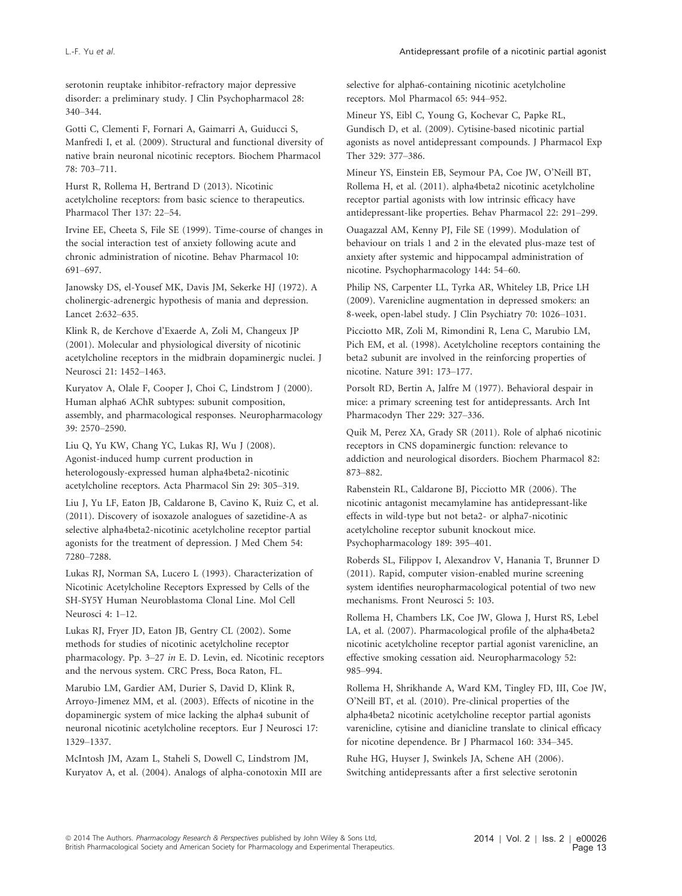serotonin reuptake inhibitor-refractory major depressive disorder: a preliminary study. J Clin Psychopharmacol 28: 340–344.

Gotti C, Clementi F, Fornari A, Gaimarri A, Guiducci S, Manfredi I, et al. (2009). Structural and functional diversity of native brain neuronal nicotinic receptors. Biochem Pharmacol 78: 703–711.

Hurst R, Rollema H, Bertrand D (2013). Nicotinic acetylcholine receptors: from basic science to therapeutics. Pharmacol Ther 137: 22–54.

Irvine EE, Cheeta S, File SE (1999). Time-course of changes in the social interaction test of anxiety following acute and chronic administration of nicotine. Behav Pharmacol 10: 691–697.

Janowsky DS, el-Yousef MK, Davis JM, Sekerke HJ (1972). A cholinergic-adrenergic hypothesis of mania and depression. Lancet 2:632–635.

Klink R, de Kerchove d'Exaerde A, Zoli M, Changeux JP (2001). Molecular and physiological diversity of nicotinic acetylcholine receptors in the midbrain dopaminergic nuclei. J Neurosci 21: 1452–1463.

Kuryatov A, Olale F, Cooper J, Choi C, Lindstrom J (2000). Human alpha6 AChR subtypes: subunit composition, assembly, and pharmacological responses. Neuropharmacology 39: 2570–2590.

Liu Q, Yu KW, Chang YC, Lukas RJ, Wu J (2008). Agonist-induced hump current production in heterologously-expressed human alpha4beta2-nicotinic acetylcholine receptors. Acta Pharmacol Sin 29: 305–319.

Liu J, Yu LF, Eaton JB, Caldarone B, Cavino K, Ruiz C, et al. (2011). Discovery of isoxazole analogues of sazetidine-A as selective alpha4beta2-nicotinic acetylcholine receptor partial agonists for the treatment of depression. J Med Chem 54: 7280–7288.

Lukas RJ, Norman SA, Lucero L (1993). Characterization of Nicotinic Acetylcholine Receptors Expressed by Cells of the SH-SY5Y Human Neuroblastoma Clonal Line. Mol Cell Neurosci 4: 1–12.

Lukas RJ, Fryer JD, Eaton JB, Gentry CL (2002). Some methods for studies of nicotinic acetylcholine receptor pharmacology. Pp. 3–27 in E. D. Levin, ed. Nicotinic receptors and the nervous system. CRC Press, Boca Raton, FL.

Marubio LM, Gardier AM, Durier S, David D, Klink R, Arroyo-Jimenez MM, et al. (2003). Effects of nicotine in the dopaminergic system of mice lacking the alpha4 subunit of neuronal nicotinic acetylcholine receptors. Eur J Neurosci 17: 1329–1337.

McIntosh JM, Azam L, Staheli S, Dowell C, Lindstrom JM, Kuryatov A, et al. (2004). Analogs of alpha-conotoxin MII are selective for alpha6-containing nicotinic acetylcholine receptors. Mol Pharmacol 65: 944–952.

Mineur YS, Eibl C, Young G, Kochevar C, Papke RL, Gundisch D, et al. (2009). Cytisine-based nicotinic partial agonists as novel antidepressant compounds. J Pharmacol Exp Ther 329: 377–386.

Mineur YS, Einstein EB, Seymour PA, Coe JW, O'Neill BT, Rollema H, et al. (2011). alpha4beta2 nicotinic acetylcholine receptor partial agonists with low intrinsic efficacy have antidepressant-like properties. Behav Pharmacol 22: 291–299.

Ouagazzal AM, Kenny PJ, File SE (1999). Modulation of behaviour on trials 1 and 2 in the elevated plus-maze test of anxiety after systemic and hippocampal administration of nicotine. Psychopharmacology 144: 54–60.

Philip NS, Carpenter LL, Tyrka AR, Whiteley LB, Price LH (2009). Varenicline augmentation in depressed smokers: an 8-week, open-label study. J Clin Psychiatry 70: 1026–1031.

Picciotto MR, Zoli M, Rimondini R, Lena C, Marubio LM, Pich EM, et al. (1998). Acetylcholine receptors containing the beta2 subunit are involved in the reinforcing properties of nicotine. Nature 391: 173–177.

Porsolt RD, Bertin A, Jalfre M (1977). Behavioral despair in mice: a primary screening test for antidepressants. Arch Int Pharmacodyn Ther 229: 327–336.

Quik M, Perez XA, Grady SR (2011). Role of alpha6 nicotinic receptors in CNS dopaminergic function: relevance to addiction and neurological disorders. Biochem Pharmacol 82: 873–882.

Rabenstein RL, Caldarone BJ, Picciotto MR (2006). The nicotinic antagonist mecamylamine has antidepressant-like effects in wild-type but not beta2- or alpha7-nicotinic acetylcholine receptor subunit knockout mice. Psychopharmacology 189: 395–401.

Roberds SL, Filippov I, Alexandrov V, Hanania T, Brunner D (2011). Rapid, computer vision-enabled murine screening system identifies neuropharmacological potential of two new mechanisms. Front Neurosci 5: 103.

Rollema H, Chambers LK, Coe JW, Glowa J, Hurst RS, Lebel LA, et al. (2007). Pharmacological profile of the alpha4beta2 nicotinic acetylcholine receptor partial agonist varenicline, an effective smoking cessation aid. Neuropharmacology 52: 985–994.

Rollema H, Shrikhande A, Ward KM, Tingley FD, III, Coe JW, O'Neill BT, et al. (2010). Pre-clinical properties of the alpha4beta2 nicotinic acetylcholine receptor partial agonists varenicline, cytisine and dianicline translate to clinical efficacy for nicotine dependence. Br J Pharmacol 160: 334–345.

Ruhe HG, Huyser J, Swinkels JA, Schene AH (2006). Switching antidepressants after a first selective serotonin